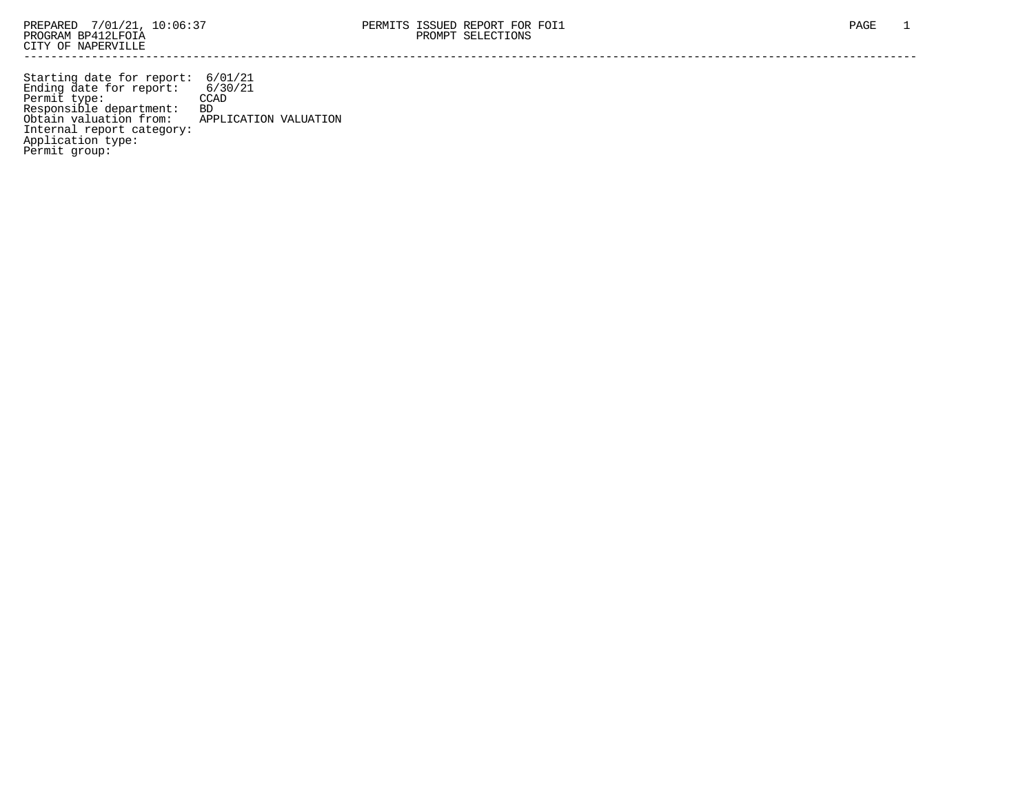Starting date for report: 6/01/21 Ending date for report: 6/30/21 Permit type: CCAD Responsible department: BD Obtain valuation from: APPLICATION VALUATION Internal report category: Application type: Permit group: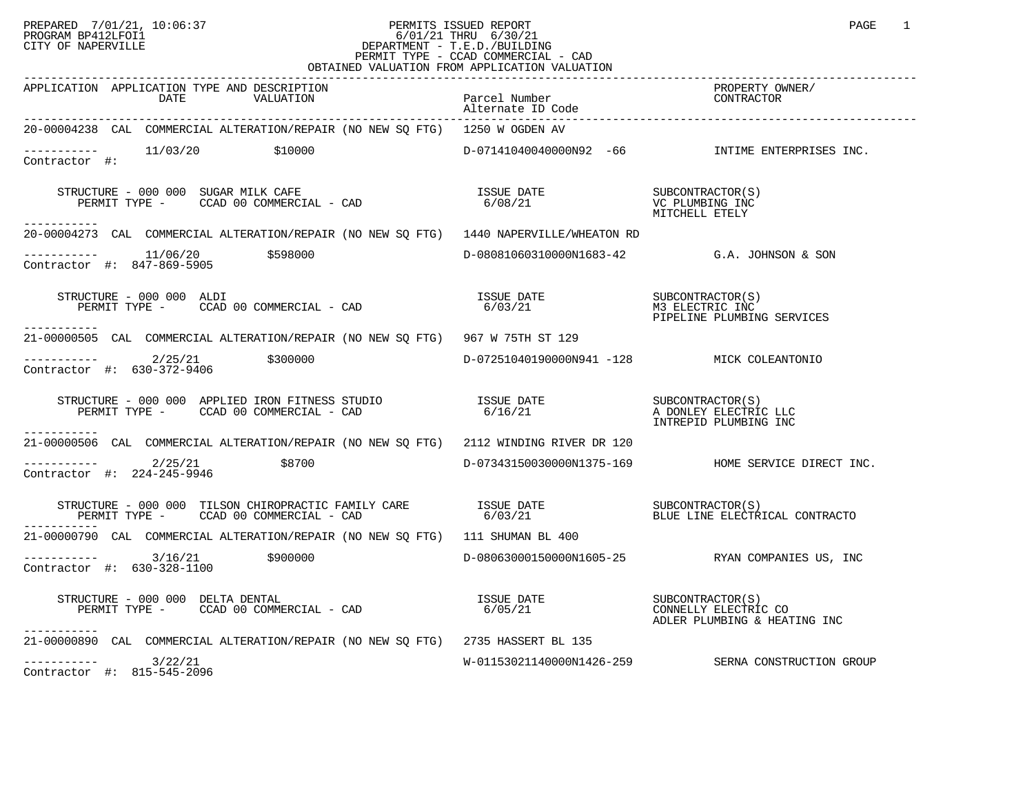### PREPARED 7/01/21, 10:06:37 PERMITS ISSUED REPORT PAGE 1<br>PROGRAM BP412LFOI1 PROGRAM PROGRAM BP412LFOI1 PROGRAM BP412LFOI1 6/01/21 THRU 6/30/21 CITY OF NAPERVILLE **Example 20** CITY OF NAPERVILLE PERMIT TYPE - CCAD COMMERCIAL - CAD OBTAINED VALUATION FROM APPLICATION VALUATION

| APPLICATION APPLICATION TYPE AND DESCRIPTION<br>DATE<br>VALUATION                                                                                                                                                                                                                                                                                    | Parcel Number<br>Alternate ID Code         | PROPERTY OWNER/<br>CONTRACTOR                                     |
|------------------------------------------------------------------------------------------------------------------------------------------------------------------------------------------------------------------------------------------------------------------------------------------------------------------------------------------------------|--------------------------------------------|-------------------------------------------------------------------|
| 20-00004238 CAL COMMERCIAL ALTERATION/REPAIR (NO NEW SQ FTG) 1250 W OGDEN AV                                                                                                                                                                                                                                                                         |                                            |                                                                   |
| $---------$ 11/03/20 \$10000<br>Contractor #:                                                                                                                                                                                                                                                                                                        |                                            | D-07141040040000N92 -66 INTIME ENTERPRISES INC.                   |
| $\begin{array}{ccccccccc} \texttt{STRUCTURE} & - & 000 & 000 & \texttt{SUGAR} & \texttt{MLE} & \texttt{CAFF} & \texttt{SUE} & \texttt{DATE} & \texttt{SUECONTRACTOR(S)} \\ \texttt{PERMIT TYPE} & - & \texttt{CCAD} & 00 & \texttt{COMMERCIAL} & - & \texttt{CAD} & & 6/08/21 & & & & \texttt{VC} & \texttt{PUMBING INC} \end{array}$<br>----------- |                                            | MITCHELL ETELY                                                    |
| 20-00004273 CAL COMMERCIAL ALTERATION/REPAIR (NO NEW SO FTG) 1440 NAPERVILLE/WHEATON RD                                                                                                                                                                                                                                                              |                                            |                                                                   |
| $---------$ 11/06/20 \$598000<br>Contractor #: 847-869-5905                                                                                                                                                                                                                                                                                          |                                            | D-08081060310000N1683-42 G.A. JOHNSON & SON                       |
| STRUCTURE - 000 000 ALDI<br>PERMIT TYPE - CCAD 00 COMMERCIAL - CAD<br>-----------                                                                                                                                                                                                                                                                    | ISSUE DATE<br>6/03/21                      | SUBCONTRACTOR(S)<br>M3 ELECTRIC INC<br>PIPELINE PLUMBING SERVICES |
| 21-00000505 CAL COMMERCIAL ALTERATION/REPAIR (NO NEW SO FTG) 967 W 75TH ST 129                                                                                                                                                                                                                                                                       |                                            |                                                                   |
| $\frac{2}{25}$ $\frac{2}{21}$ $\frac{2}{300000}$<br>Contractor #: 630-372-9406                                                                                                                                                                                                                                                                       | D-07251040190000N941 -128 MICK COLEANTONIO |                                                                   |
|                                                                                                                                                                                                                                                                                                                                                      |                                            | A DONLEY ELECTRIC LLC<br>INTREPID PLUMBING INC                    |
| 21-00000506 CAL COMMERCIAL ALTERATION/REPAIR (NO NEW SO FTG) 2112 WINDING RIVER DR 120                                                                                                                                                                                                                                                               |                                            |                                                                   |
| $---------2/25/21$<br>\$8700<br>Contractor #: 224-245-9946                                                                                                                                                                                                                                                                                           |                                            | D-07343150030000N1375-169 HOME SERVICE DIRECT INC.                |
|                                                                                                                                                                                                                                                                                                                                                      |                                            |                                                                   |
| 21-00000790 CAL COMMERCIAL ALTERATION/REPAIR (NO NEW SQ FTG) 111 SHUMAN BL 400                                                                                                                                                                                                                                                                       |                                            |                                                                   |
| $---------$ 3/16/21 \$900000<br>Contractor #: 630-328-1100                                                                                                                                                                                                                                                                                           |                                            | D-08063000150000N1605-25 RYAN COMPANIES US, INC                   |
| STRUCTURE - 000 000 DELTA DENTAL<br>PERMIT TYPE - CCAD 00 COMMERCIAL - CAD<br>-----------                                                                                                                                                                                                                                                            |                                            |                                                                   |
| 21-00000890 CAL COMMERCIAL ALTERATION/REPAIR (NO NEW SQ FTG) 2735 HASSERT BL 135                                                                                                                                                                                                                                                                     |                                            |                                                                   |
| $--------$ 3/22/21<br>Contractor #: 815-545-2096                                                                                                                                                                                                                                                                                                     | W-01153021140000N1426-259                  | SERNA CONSTRUCTION GROUP                                          |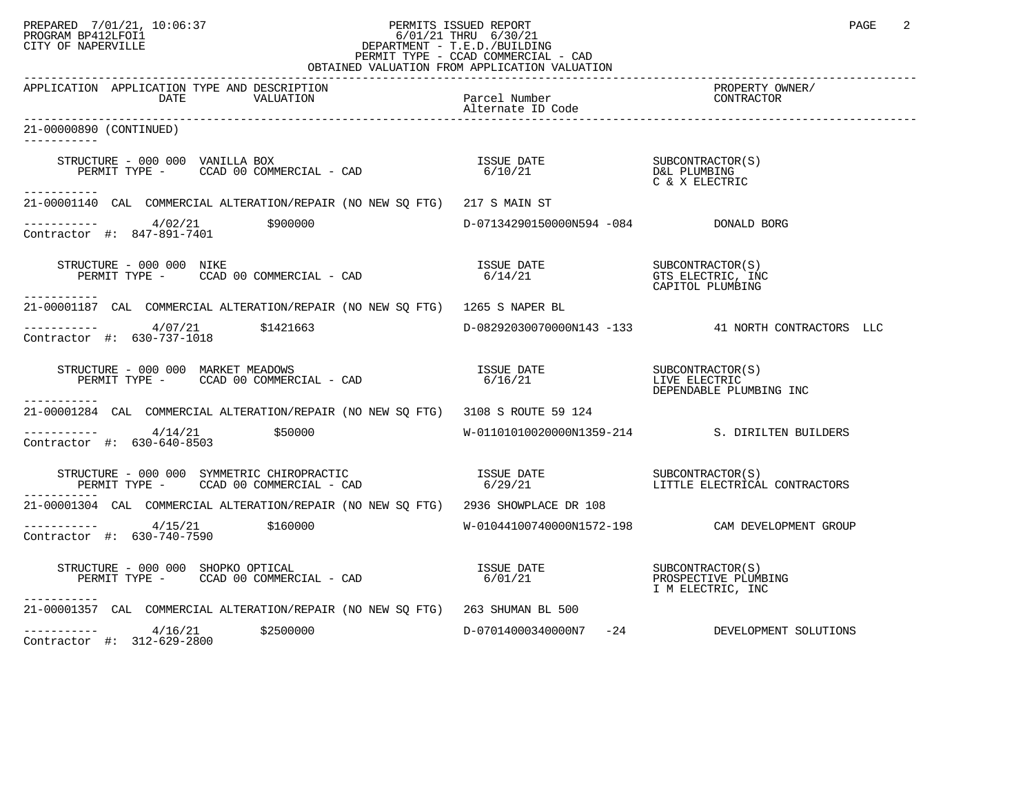#### PREPARED 7/01/21, 10:06:37 PERMITS ISSUED REPORT PAGE 2<br>PROGRAM BP412LFOI1 PROGRAM PROGRAM BP412LFOI1 PROGRAM BP412LFOI1 6/01/21 THRU 6/30/21 CITY OF NAPERVILLE **Example 20** CITY OF NAPERVILLE PERMIT TYPE - CCAD COMMERCIAL - CAD OBTAINED VALUATION FROM APPLICATION VALUATION

| APPLICATION APPLICATION TYPE AND DESCRIPTION<br>VALUATION<br>DATE                                                                                                                                                                                          | Parcel Number                | PROPERTY OWNER/<br>CONTRACTOR                             |
|------------------------------------------------------------------------------------------------------------------------------------------------------------------------------------------------------------------------------------------------------------|------------------------------|-----------------------------------------------------------|
| 21-00000890 (CONTINUED)                                                                                                                                                                                                                                    |                              |                                                           |
| STRUCTURE - 000 000 VANILLA BOX<br>RUCTURE – 000 000 VANILLA BOX<br>PERMIT TYPE – CCAD 00 COMMERCIAL – CAD                             6/10/21                            D&L PLUMBING<br>-----------                                                      |                              | C & X ELECTRIC                                            |
| 21-00001140 CAL COMMERCIAL ALTERATION/REPAIR (NO NEW SQ FTG) 217 S MAIN ST                                                                                                                                                                                 |                              |                                                           |
| $---------$ 4/02/21 \$900000<br>Contractor #: $847-891-7401$                                                                                                                                                                                               |                              |                                                           |
| STRUCTURE - 000 000 NIKE<br>NOCIORE - 000 000 NIKE<br>PERMIT TYPE - CCAD 00 COMMERCIAL - CAD<br>------------                                                                                                                                               | <b>ISSUE DATE</b><br>6/14/21 | SUBCONTRACTOR(S)<br>GTS ELECTRIC, INC<br>CAPITOL PLUMBING |
| 21-00001187 CAL COMMERCIAL ALTERATION/REPAIR (NO NEW SQ FTG) 1265 S NAPER BL                                                                                                                                                                               |                              |                                                           |
| $---------$ 4/07/21 \$1421663<br>Contractor #: 630-737-1018                                                                                                                                                                                                |                              | D-08292030070000N143 -133 41 NORTH CONTRACTORS LLC        |
| RUCTURE - 000 000 MARKET MEADOWS<br>PERMIT TYPE -     CCAD 00 COMMERCIAL - CAD<br>STRUCTURE - 000 000 MARKET MEADOWS<br>-----------                                                                                                                        |                              | DEPENDABLE PLUMBING INC                                   |
| 21-00001284 CAL COMMERCIAL ALTERATION/REPAIR (NO NEW SO FTG) 3108 S ROUTE 59 124                                                                                                                                                                           |                              |                                                           |
| $\frac{4}{14/21}$ \$50000<br>Contractor #: 630-640-8503                                                                                                                                                                                                    |                              | W-01101010020000N1359-214 S. DIRILTEN BUILDERS            |
| STRUCTURE – 000 000 SYMMETRIC CHIROPRACTIC                         ISSUE DATE                       SUBCONTRACTOR(S)<br>PERMIT TYPE –       CCAD 00 COMMERCIAL – CAD                              6/29/21<br>PERMIT TYPE - CCAD 00 COMMERCIAL - CAD        |                              | LITTLE ELECTRICAL CONTRACTORS                             |
| 21-00001304 CAL COMMERCIAL ALTERATION/REPAIR (NO NEW SQ FTG) 2936 SHOWPLACE DR 108                                                                                                                                                                         |                              |                                                           |
| $\frac{4}{15/21}$ \$160000<br>Contractor #: 630-740-7590                                                                                                                                                                                                   |                              | W-01044100740000N1572-198 CAM DEVELOPMENT GROUP           |
| $\begin{tabular}{lclclcl} \texttt{STRUCTURE} & - & 000 & 000 & SHOPKO & OPTICAL & & & & & & & & & \\ \texttt{ISSUE} & DATE & & & & & & & & & & \\ \texttt{PERMIT TYPE} & - & & CCAD & 00 & COMMERCIAL & - & CAD & & & & & \\ \end{tabular}$<br>----------- |                              | PROSPECTIVE PLUMBING<br>I M ELECTRIC, INC                 |
| 21-00001357 CAL COMMERCIAL ALTERATION/REPAIR (NO NEW SQ FTG) 263 SHUMAN BL 500                                                                                                                                                                             |                              |                                                           |
| $---------$ 4/16/21 \$2500000<br>Contractor #: 312-629-2800                                                                                                                                                                                                |                              | D-07014000340000N7 -24 DEVELOPMENT SOLUTIONS              |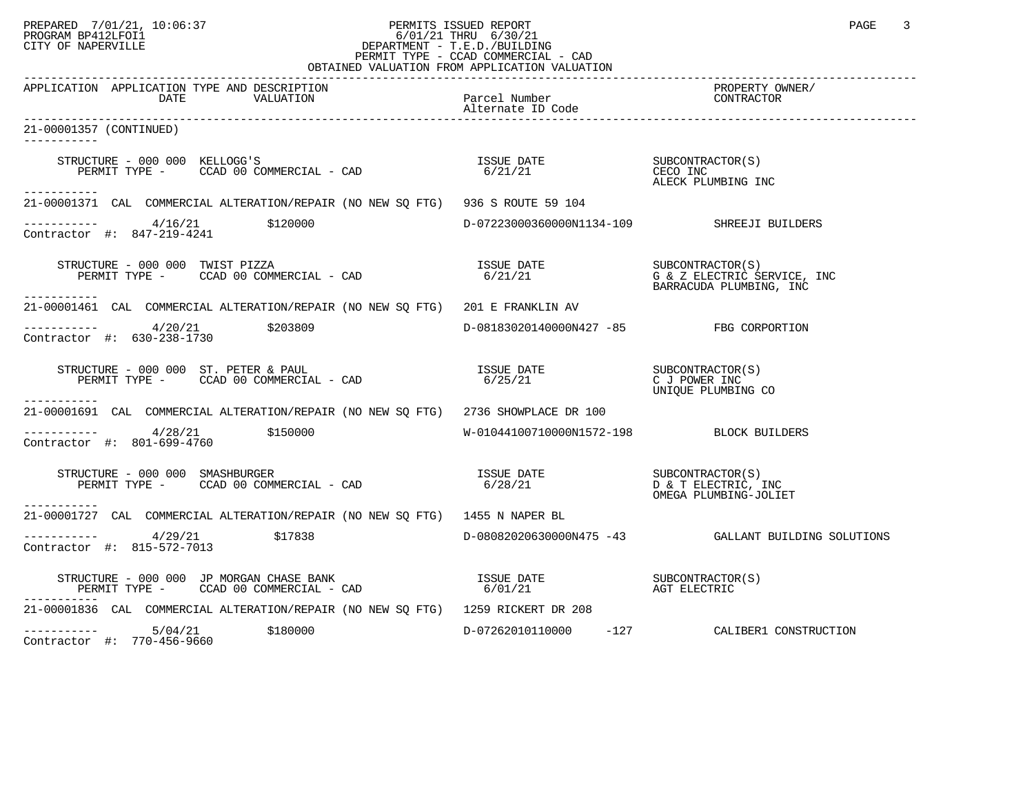#### PREPARED 7/01/21, 10:06:37 PERMITS ISSUED REPORT PAGE 3<br>PROGRAM BP412LFOI1 PROGRAM PROGRAM BP412LFOI1 PROGRAM BP412LFOI1 6/01/21 THRU 6/30/21 CITY OF NAPERVILLE **Example 20** CITY OF NAPERVILLE PERMIT TYPE - CCAD COMMERCIAL - CAD OBTAINED VALUATION FROM APPLICATION VALUATION

| APPLICATION APPLICATION TYPE AND DESCRIPTION<br>DATE<br>VALUATION                                                                                                                                                                                                                                                                                                                                                                         | Parcel Number                              | PROPERTY OWNER/<br>CONTRACTOR                                                                                                                                                               |
|-------------------------------------------------------------------------------------------------------------------------------------------------------------------------------------------------------------------------------------------------------------------------------------------------------------------------------------------------------------------------------------------------------------------------------------------|--------------------------------------------|---------------------------------------------------------------------------------------------------------------------------------------------------------------------------------------------|
| 21-00001357 (CONTINUED)<br><u> Liberalis Libera</u>                                                                                                                                                                                                                                                                                                                                                                                       |                                            |                                                                                                                                                                                             |
| STRUCTURE - 000 000 KELLOGG'S<br>RUCTURE – 000 000 KELLOGG'S<br>PERMIT TYPE – CCAD 00 COMMERCIAL – CAD                                  6/21/21<br>PERMIT TYPE – CCAD 00 COMMERCIAL – CAD                           6/21/21<br>------------                                                                                                                                                                                               |                                            | ALECK PLUMBING INC                                                                                                                                                                          |
| 21-00001371 CAL COMMERCIAL ALTERATION/REPAIR (NO NEW SQ FTG) 936 S ROUTE 59 104                                                                                                                                                                                                                                                                                                                                                           |                                            |                                                                                                                                                                                             |
| $---------$ 4/16/21 \$120000<br>Contractor #: 847-219-4241                                                                                                                                                                                                                                                                                                                                                                                | D-07223000360000N1134-109 SHREEJI BUILDERS |                                                                                                                                                                                             |
| TRUCTURE - 000 000 TWIST PIZZA<br>PERMIT TYPE -     CCAD 00 COMMERCIAL - CAD<br>STRUCTURE - 000 000 TWIST PIZZA<br>------------                                                                                                                                                                                                                                                                                                           |                                            | $\begin{tabular}{llllll} \texttt{ISSUE} & \texttt{DATE} & & \texttt{SUBCONTRACTOR(S)}\\ \texttt{6/21/21} & & \texttt{G & Z ELECTRIC SERVICE, INC} \end{tabular}$<br>BARRACUDA PLUMBING, INC |
| 21-00001461 CAL COMMERCIAL ALTERATION/REPAIR (NO NEW SQ FTG) 201 E FRANKLIN AV                                                                                                                                                                                                                                                                                                                                                            |                                            |                                                                                                                                                                                             |
| $---------$ 4/20/21 \$203809<br>Contractor #: 630-238-1730                                                                                                                                                                                                                                                                                                                                                                                | D-08183020140000N427 -85 FBG CORPORTION    |                                                                                                                                                                                             |
| STRUCTURE - 000 000 ST. PETER & PAUL<br>PERMIT TYPE - CCAD 00 COMMERCIAL - CAD<br>-----------                                                                                                                                                                                                                                                                                                                                             |                                            | UNIQUE PLUMBING CO                                                                                                                                                                          |
| 21-00001691 CAL COMMERCIAL ALTERATION/REPAIR (NO NEW SO FTG) 2736 SHOWPLACE DR 100                                                                                                                                                                                                                                                                                                                                                        |                                            |                                                                                                                                                                                             |
| $\frac{4}{28/21}$ \$150000<br>Contractor #: 801-699-4760                                                                                                                                                                                                                                                                                                                                                                                  | W-01044100710000N1572-198 BLOCK BUILDERS   |                                                                                                                                                                                             |
| $\begin{array}{cccccc} \texttt{STRUCTURE} & - & 000 & 000 & \texttt{SMASHBURGER} & & & \\ \texttt{PERMIT TYPE} & - & \texttt{CCAD} & 00 & \texttt{COMMERCHAL} & - & \texttt{CAD} & & \\ \end{array} \qquad \begin{array}{cccccc} \texttt{ISSUE} & \texttt{DATE} & & & & \\ \texttt{SUSUE} & \texttt{DATE} & & & & \\ \texttt{S/28/21} & & & & \texttt{D} & \texttt{C} & \texttt{ELECTRIC, INC} \\ \end{array}$<br>-----------             |                                            | OMEGA PLUMBING-JOLIET                                                                                                                                                                       |
| 21-00001727 CAL COMMERCIAL ALTERATION/REPAIR (NO NEW SQ FTG) 1455 N NAPER BL                                                                                                                                                                                                                                                                                                                                                              |                                            |                                                                                                                                                                                             |
| $---------$ 4/29/21 \$17838<br>Contractor #: 815-572-7013                                                                                                                                                                                                                                                                                                                                                                                 |                                            | D-08082020630000N475 -43 GALLANT BUILDING SOLUTIONS                                                                                                                                         |
| $\begin{array}{cccccc} \texttt{STRUCTURE} & - & 000 & 000 & \texttt{JP} & \texttt{MORGAN} & \texttt{HASE} & \texttt{BANK} & & & & & \\ \texttt{PERMIT TYPE} & - & & \texttt{CCAD} & 00 & \texttt{COMMERCIAL} & - & \texttt{CAD} & & & & & \\ \end{array} \qquad \begin{array}{cccccc} \texttt{ISSUE} & \texttt{DATE} & & & & \texttt{SUBCONTRACTOR(S)} \\ \texttt{6/01/21} & & & & \texttt{AGT} & \texttt{ELECTRIC} & & & \\ \end{array}$ |                                            |                                                                                                                                                                                             |
| 21-00001836 CAL COMMERCIAL ALTERATION/REPAIR (NO NEW SQ FTG) 1259 RICKERT DR 208                                                                                                                                                                                                                                                                                                                                                          |                                            |                                                                                                                                                                                             |
| $---------$ 5/04/21 \$180000<br>Contractor #: 770-456-9660                                                                                                                                                                                                                                                                                                                                                                                |                                            | D-07262010110000 -127 CALIBER1 CONSTRUCTION                                                                                                                                                 |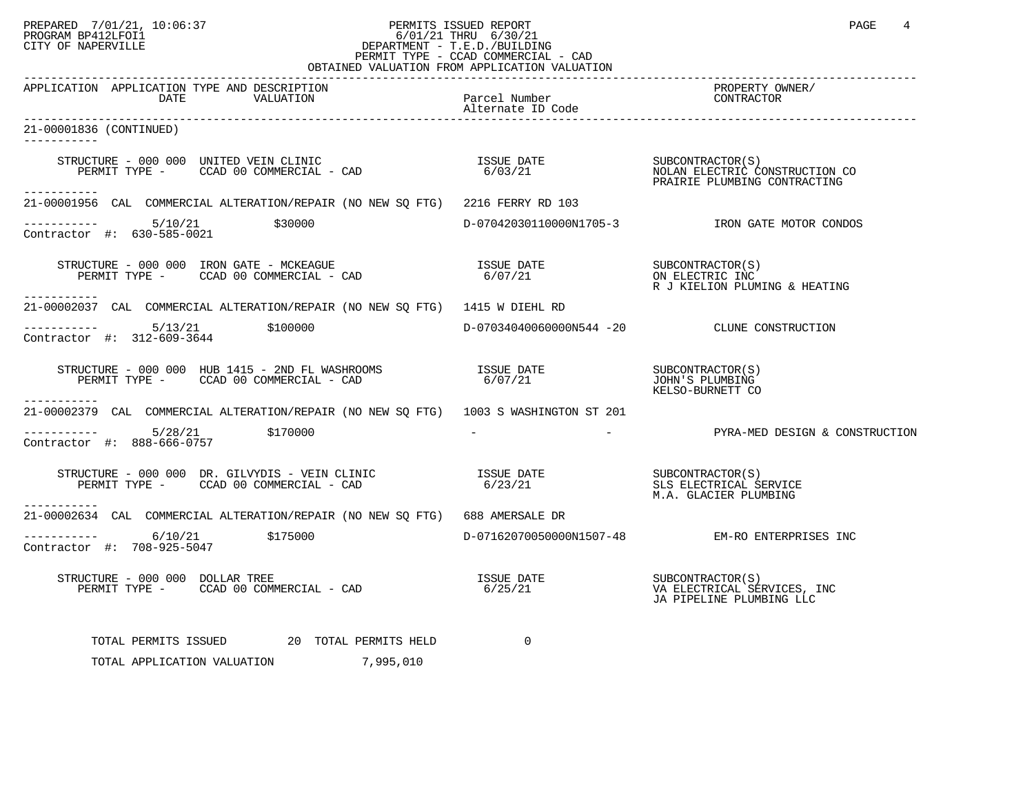## PREPARED 7/01/21, 10:06:37 PERMITS ISSUED REPORT PAGE 4 PROGRAM BP412LFOI1 PROGRAM BP412LFOI1 6/01/21 THRU 6/30/21 CITY OF NAPERVILLE **Example 20** CITY OF NAPERVILLE PERMIT TYPE - CCAD COMMERCIAL - CAD

|                                                                                                                                                                                | OBTAINED VALUATION FROM APPLICATION VALUATION |                                                         |
|--------------------------------------------------------------------------------------------------------------------------------------------------------------------------------|-----------------------------------------------|---------------------------------------------------------|
| APPLICATION APPLICATION TYPE AND DESCRIPTION<br>VALUATION<br>DATE                                                                                                              | -<br>Parcel Number<br>Alternate ID Code       | PROPERTY OWNER/<br>CONTRACTOR                           |
| 21-00001836 (CONTINUED)<br>-----------                                                                                                                                         |                                               |                                                         |
| STRUCTURE - 000 000 UNITED VEIN CLINIC<br>PERMIT TYPE - CCAD 00 COMMERCIAL - CAD (20 0 ) = 6/03/21<br>PERMIT TYPE - CCAD 00 COMMERCIAL - CAD (20 0 ) = 6/03/21<br>------------ |                                               |                                                         |
| 21-00001956 CAL COMMERCIAL ALTERATION/REPAIR (NO NEW SQ FTG) 2216 FERRY RD 103                                                                                                 |                                               |                                                         |
| $------ 5/10/21$ \$30000<br>Contractor #: 630-585-0021                                                                                                                         |                                               | D-07042030110000N1705-3 TRON GATE MOTOR CONDOS          |
| STRUCTURE – 000 000 IRON GATE – MCKEAGUE<br>PERMIT TYPE – CCAD 00 COMMERCIAL – CAD 6/07/21 00 COMERCIAL – CAD 6/07/21 00 CALCENTIC INC                                         |                                               | R J KIELION PLUMING & HEATING                           |
| 21-00002037 CAL COMMERCIAL ALTERATION/REPAIR (NO NEW SQ FTG) 1415 W DIEHL RD                                                                                                   |                                               |                                                         |
| Contractor #: 312-609-3644                                                                                                                                                     |                                               | D-07034040060000N544 -20 CLUNE CONSTRUCTION             |
|                                                                                                                                                                                |                                               | SUBCONTRACTOR(S)<br>JOHN'S PLUMBING<br>KELSO-BURNETT CO |
| ----------<br>21-00002379 CAL COMMERCIAL ALTERATION/REPAIR (NO NEW SQ FTG) 1003 S WASHINGTON ST 201                                                                            |                                               |                                                         |
| $\frac{5}{28}$ $\frac{5}{28}$ $\frac{5}{28}$ $\frac{170000}{28}$<br>Contractor #: 888-666-0757                                                                                 |                                               |                                                         |
| -----------                                                                                                                                                                    |                                               | M.A. GLACIER PLUMBING                                   |
| 21-00002634 CAL COMMERCIAL ALTERATION/REPAIR (NO NEW SQ FTG) 688 AMERSALE DR                                                                                                   |                                               |                                                         |
| $--------- 6/10/21$ \$175000<br>Contractor #: 708-925-5047                                                                                                                     |                                               | D-07162070050000N1507-48 EM-RO ENTERPRISES INC          |
| STRUCTURE – 000 000 DOLLAR TREE<br>PERMIT TYPE – CCAD 00 COMMERCIAL – CAD 6/25/21 VA ELECTRICAL SERVICES                                                                       |                                               | VA ELECTRICAL SERVICES, INC<br>JA PIPELINE PLUMBING LLC |
| TOTAL PERMITS ISSUED 20 TOTAL PERMITS HELD                                                                                                                                     | $\overline{0}$                                |                                                         |
| TOTAL APPLICATION VALUATION<br>7,995,010                                                                                                                                       |                                               |                                                         |